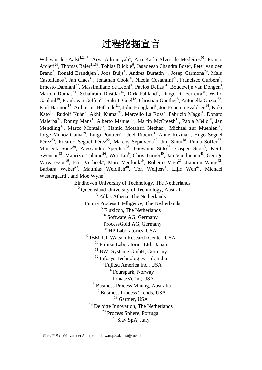# 过程挖掘宣言

Wil van der Aalst<sup>[1](#page-0-0),2,\*</sup>, Arya Adriansyah<sup>1</sup>, Ana Karla Alves de Medeiros<sup>50</sup>, Franco Arcieri<sup>26</sup>, Thomas Baier<sup>11,53</sup>, Tobias Blickle<sup>6</sup>, Jagadeesh Chandra Bose<sup>1</sup>, Peter van den Brand<sup>4</sup>, Ronald Brandtjen<sup>7</sup>, Joos Buijs<sup>1</sup>, Andrea Burattin<sup>28</sup>, Josep Carmona<sup>29</sup>, Malu Castellanos<sup>8</sup>, Jan Claes<sup>45</sup>, Jonathan Cook<sup>30</sup>, Nicola Costantini<sup>21</sup>, Francisco Curbera<sup>9</sup>, Ernesto Damiani<sup>27</sup>, Massimiliano de Leoni<sup>1</sup>, Pavlos Delias<sup>51</sup>, Boudewijn van Dongen<sup>1</sup>, Marlon Dumas<sup>44</sup>, Schahram Dustdar<sup>46</sup>, Dirk Fahland<sup>1</sup>, Diogo R. Ferreira<sup>31</sup>, Walid Gaaloul<sup>49</sup>, Frank van Geffen<sup>24</sup>, Sukriti Goel<sup>12</sup>, Christian Günther<sup>5</sup>, Antonella Guzzo<sup>32</sup>, Paul Harmon<sup>17</sup>, Arthur ter Hofstede<sup>2,1</sup>, John Hoogland<sup>3</sup>, Jon Espen Ingvaldsen<sup>14</sup>, Koki Kato<sup>10</sup>, Rudolf Kuhn<sup>7</sup>, Akhil Kumar<sup>33</sup>, Marcello La Rosa<sup>2</sup>, Fabrizio Maggi<sup>1</sup>, Donato Malerba<sup>34</sup>, Ronny Mans<sup>1</sup>, Alberto Manuel<sup>20</sup>, Martin McCreesh<sup>15</sup>, Paola Mello<sup>38</sup>, Jan Mendling<sup>35</sup>, Marco Montali<sup>52</sup>, Hamid Motahari Nezhad<sup>8</sup>, Michael zur Muehlen<sup>36</sup>, Jorge Munoz-Gama<sup>29</sup>, Luigi Pontieri<sup>25</sup>, Joel Ribeiro<sup>1</sup>, Anne Rozinat<sup>5</sup>, Hugo Seguel Pérez<sup>23</sup>, Ricardo Seguel Pérez<sup>22</sup>, Marcos Sepúlveda<sup>47</sup>, Jim Sinur<sup>18</sup>, Pnina Soffer<sup>37</sup>, Minseok Song<sup>39</sup>, Alessandro Sperduti<sup>28</sup>, Giovanni Stilo<sup>26</sup>, Casper Stoel<sup>3</sup>, Keith Swenson<sup>13</sup>, Maurizio Talamo<sup>26</sup>, Wei Tan<sup>9</sup>, Chris Turner<sup>40</sup>, Jan Vanthienen<sup>41</sup>, George Varvaressos<sup>16</sup>, Eric Verbeek<sup>1</sup>, Marc Verdonk<sup>19</sup>, Roberto Vigo<sup>21</sup>, Jianmin Wang<sup>42</sup>, Barbara Weber<sup>43</sup>, Matthias Weidlich<sup>48</sup>, Ton Weijters<sup>1</sup>, Lijie Wen<sup>42</sup>, Michael Westergaard<sup>1</sup>, and Moe Wynn<sup>2</sup>

 $1$  Eindhoven University of Technology, The Netherlands

<sup>2</sup> Queensland University of Technology, Australia

<sup>3</sup> Pallas Athena, The Netherlands

<sup>4</sup> Futura Process Intelligence, The Netherlands

<sup>5</sup> Fluxicon, The Netherlands

<sup>6</sup> Software AG, Germany

<sup>7</sup> ProcessGold AG, Germany

<sup>8</sup> HP Laboratories, USA

<sup>9</sup> IBM T.J. Watson Research Center, USA

<sup>10</sup> Fujitsu Laboratories Ltd., Japan

<sup>11</sup> BWI Systeme GmbH, Germany

<sup>12</sup> Infosys Technologies Ltd, India

<sup>13</sup> Fujitsu America Inc., USA

<sup>14</sup> Fourspark, Norway

<sup>15</sup> Iontas/Verint, USA

<sup>16</sup> Business Process Mining, Australia

<sup>17</sup> Business Process Trends, USA

<sup>18</sup> Gartner, USA

<sup>19</sup> Deloitte Innovation, The Netherlands

<sup>20</sup> Process Sphere, Portugal

 $21$  Siav SpA, Italy

<span id="page-0-0"></span> <sup>\*</sup> 通讯作者:Wil van der Aalst, e-mail: w.m.p.v.d.aalst@tue.nl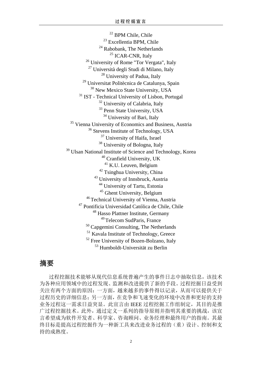<sup>22</sup> BPM Chile, Chile <sup>23</sup> Excellentia BPM, Chile <sup>24</sup> Rabobank, The Netherlands <sup>25</sup> ICAR-CNR, Italy <sup>26</sup> University of Rome "Tor Vergata", Italy <sup>27</sup> Università degli Studi di Milano, Italy <sup>28</sup> University of Padua, Italy <sup>29</sup> Universitat Politècnica de Catalunya, Spain <sup>30</sup> New Mexico State University, USA <sup>31</sup> IST - Technical University of Lisbon, Portugal <sup>32</sup> University of Calabria, Italy <sup>33</sup> Penn State University, USA <sup>34</sup> University of Bari, Italy <sup>35</sup> Vienna University of Economics and Business, Austria <sup>36</sup> Stevens Institute of Technology, USA <sup>37</sup> University of Haifa, Israel <sup>38</sup> University of Bologna, Italy <sup>39</sup> Ulsan National Institute of Science and Technology, Korea <sup>40</sup> Cranfield University, UK <sup>41</sup> K.U. Leuven, Belgium <sup>42</sup> Tsinghua University, China <sup>43</sup> University of Innsbruck, Austria <sup>44</sup> University of Tartu, Estonia <sup>45</sup> Ghent University, Belgium <sup>46</sup> Technical University of Vienna, Austria <sup>47</sup> Pontificia Universidad Católica de Chile, Chile <sup>48</sup> Hasso Plattner Institute, Germany <sup>49</sup> Telecom SudParis, France <sup>50</sup> Capgemini Consulting, The Netherlands <sup>51</sup> Kavala Institute of Technology, Greece <sup>52</sup> Free University of Bozen-Bolzano, Italy <sup>53</sup> Humboldt-Universität zu Berlin

# 摘要

过程挖掘技术能够从现代信息系统普遍产生的事件日志中抽取信息,该技术 为各种应用领域中的过程发现、监测和改进提供了新的手段。过程挖掘日益受到 关注有两个方面的原因:一方面,越来越多的事件得以记录,从而可以提供关于 过程历史的详细信息;另一方面,在竞争和飞速变化的环境中改善和更好的支持 业务过程这一需求日益突显。此宣言由 IEEE 过程挖掘工作组制定,其目的是推 广过程挖掘技术。此外,通过定义一系列的指导原则并指明其重要的挑战,该宣 言希望成为软件开发者、科学家、咨询顾问、业务经理和最终用户的指南。其最 终目标是提高过程挖掘作为一种新工具来改进业务过程的(重)设计、控制和支 持的成熟度。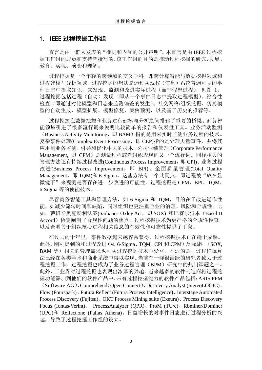## 1. IEEE 过程挖掘工作组

宣言是由一群人发表的"准则和内涵的公开声明"。本宣言是由 IEEE 过程挖 掘工作组的成员和支持者撰写的,该工作组的目的是推动过程挖掘的研究、发展、 教育、实现、演变和理解。

过程挖掘是一个年轻的跨领域的交叉学科,即跨计算智能与数据挖掘领域和 过程建模与分析领域。过程挖掘的想法是通过从现代(信息)系统普遍可见的事 件日志中提取知识,来发现、监测和改进实际过程(而非假想过程),见图 1。 过程挖掘包括过程(自动)发现(即从一个事件日志中提取过程模型)、符合性 检查(即通过对比模型和日志来监测偏差的发生)、社交网络/组织挖掘、仿真模 型的自动生成、模型扩展、模型修复、案例预测,以及基于历史的推荐等。

过程挖掘在数据挖掘和业务过程建模与分析之间搭建了重要的桥梁。商务智 能领域引进了很多流行词来说明比较简单的报告和仪表盘工具。业务活动监测 (Business Activity Monitoring, 即 BAM)指的是用来实时监测业务过程的技术。 复杂事件处理(Complex Event Processing, 即 CEP)指的是处理大量事件, 并将其 应用到业务监测、引导和优化中去的技术。公司业绩管理(Corporate Performance Management, 即 CPM) 是测量过程或者组织表现的又一个流行词。同样相关的 管理方法还有持续过程改进(Continuous Process Improvement,即 CPI)、业务过程 改进(Business Process Improvement, 即 BPI)、全面质量管理(Total Quality Management, 即 TQM)和 6-Sigma。这些方法有一个共同点, 即过程被"放在显 微镜下"来观测是否存在进一步改进的可能性。过程挖掘是 CPM、BPI、TQM、 6-Sigma 等的使能技术。

尽管商务智能工具和管理方法, 如 6-Sigma 和 TQM, 目的在于改进运作性 能,如减少流转时间和缺陷,同时组织也更注重企业的治理、风险和合规性。比 如, 萨班斯奥克斯利法案(Sarbanes-Oxley Act, 即 SOX) 和巴赛尔资本 (Basel II Accord)协定阐明了合规性问题的焦点。过程挖掘技术为更严格的合规性检查, 以及查明关于组织核心过程相关信息的有效性和可靠性提供了手段。

在过去的十年里,事件数据越来越容易获得,过程挖掘技术正在趋于成熟。 此外,刚刚提到的和过程改进(如 6-Sigma、TOM、CPI 和 CPM)及合规性 (SOX, BAM 等)相关的管理需求也可从过程挖掘技术中受益。幸运的是,过程挖掘算 法已经在各类学术和商业系统中得以实现。当前有一群很活跃的研究者致力于过 程挖掘工作,过程挖掘也成为了业务过程管理(BPM)研究中的热门课题之一。 此外,工业界对过程挖掘也表现出浓厚的兴趣。越来越多的软件制造商将过程挖 掘功能添加到他们的软件产品中。带有过程挖掘能力的软件产品包括:ARIS PPM

(Software AG)、Comprehend(Open Connect)、Discovery Analyst (StereoLOGIC)、 Flow (Fourspark)、Futura Reflect (Futura Process Intelligence)、Interstage Automated Process Discovery (Fujitsu)、OKT Process Mining suite (Exeura)、Process Discovery Focus (Iontas/Verint)、 ProcessAnalyzer (QPR)、ProM (TU/e)、Rbminer/Dbminer (UPC)和 Reflect|one (Pallas Athena)。日益增长的对事件日志进行过程分析的兴 趣,导致了过程挖掘工作组的设立。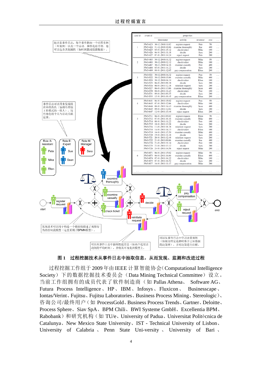

图 **1** 过程挖掘技术从事件日志中抽取信息,从而发现、监测和改进过程

过程挖掘工作组于 2009 年由 IEEE 计算智能协会(Computational Intelligence Society)下的数据挖掘技术委员会(Data Mining Technical Committee)设立。 当前工作组拥有的成员代表了软件制造商(如 Pallas Athena、 Software AG、 Futura Process Intelligence、HP、IBM、Infosys、Fluxicon、 Businesscape、 Iontas/Verint、Fujitsu、Fujitsu Laboratories、Business Process Mining、Stereologic)、 咨询公司/最终用户(如 ProcessGold、Business Process Trends、Gartner、Deloitte、 Process Sphere、Siav SpA、BPM Chili、BWI Systeme GmbH、Excellentia BPM、 Rabobank)和研究机构(如 TU/e、University of Padua、Universitat Politècnica de Catalunya、New Mexico State University、IST - Technical University of Lisbon、 University of Calabria 、 Penn State Uni-versity 、 University of Bari 、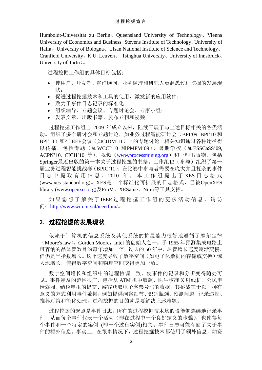Humboldt-Universität zu Berlin、Queensland University of Technology、Vienna University of Economics and Business、Stevens Institute of Technology、University of Haifa、University of Bologna、Ulsan National Institute of Science and Technology、 Cranfield University、K.U. Leuven、 Tsinghua University、University of Innsbruck、 University of Tartu)。

过程挖掘工作组的具体目标包括:

- 使用户、开发者、咨询顾问、业务经理和研究人员洞悉过程挖掘的发展现 状;
- 促进过程挖掘技术和工具的使用,激发新的应用软件;
- 致力于事件日志记录的标准化;
- 组织辅导、专题会议、专题讨论会、专家小组;
- 发表文章、出版书籍、发布专刊和视频。

过程挖掘工作组自 2009 年成立以来,陆续开展了与上述目标相关的各类活 动。组织了多个研讨会和专题讨论,如业务过程智能研讨会(BPI'09, BPI'10 和 BPI'11)和在IEEE会议(如CIDM'11)上的专题讨论。相关知识通过各种途径得 以传播, 包括专题(如WCCI'10 和PMPM'09)、暑期学校(如ESSCaSS'09, ACPN'10, CICH'10 等)、视频([www.processmining.org](http://www.processmining.org/)) 和一些出版物, 包括 Springer最近出版的第一本关于过程挖掘的书籍。工作组也(参与)组织了第一 届业务过程智能挑战赛(BPIC'11):在比赛中参与者需要在庞大并且复杂的事件 日志中提取有用信息。 2010 年, 本工作组提出了XES日志格式 [\(www.xes-standard.org\)](http://www.xes-standard.org/)。XES是一个标准化可扩展的日志格式,已被OpenXES library [\(www.openxes.org\)](http://www.openxes.org/)及ProM、XESame、Nitro等工具支持。

如果您想了解关于 IEEE 过程挖掘工作组的更多活动信息, 请访 问:<http://www.win.tue.nl/ieeetfpm/>。

## 2. 过程挖掘的发展现状

依赖于计算机的信息系统及其他系统的扩展能力很好地遵循了摩尔定律 (Moore's law)。Gorden Moore, Intel 的创始人之一, 于 1965 年预测集成电路上 可容纳的晶体管数目约每年增加一倍。过去的 50 年中,尽管增长速度逐渐变慢, 但仍是呈指数增长。这个速度导致了数字空间(如电子化数据的存储或交换)惊 人地增长,使得数字空间和物理空间变得更加一致。

数字空间增长和组织中的过程协调一致,使事件的记录和分析变得随处可 见。事件涉及的范围很广,包括从 ATM 机中取款、医生校准 X 射线机、公民申 请驾照、纳税申报的提交、游客获取电子客票号码的收据。其挑战在于以一种有 意义的方式利用事件数据,例如提供洞察细节、识别瓶颈、预测问题、记录违规、 推荐对策和简化处理,过程挖掘的目的就是要解决上述难题。

过程挖掘的起点是事件日志。所有的过程挖掘技术均假设能够连续地记录事 件,从而每个事件代表一个活动(即在过程中一个良好定义的步骤),也使得每 个事件和一个特定的案例 (即一个过程实例)相关。事件日志可能存储了关于事 件的额外信息。事实上,在很多情况下,过程挖掘技术都使用了额外信息,如资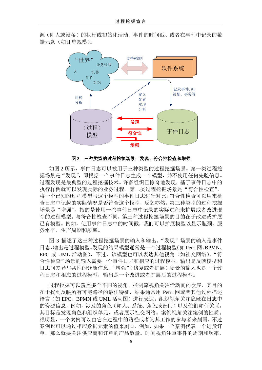源(即人或设备)的执行或初始化活动、事件的时间戳、或者在事件中记录的数 据元素(如订单规模)。



#### 图 **2** 三种类型的过程挖掘场景:发现、符合性检查和增强

如图 2 所示,事件日志可以被用于三种类型的过程挖掘场景。第一类过程挖 掘场景是"发现",即根据一个事件日志生成一个模型,并不使用任何先验信息。 过程发现是最典型的过程挖掘技术。许多组织已惊奇地发现,基于事件日志中的 执行样例就可以发现实际的业务过程。第二类过程挖掘场景是"符合性检查", 将一个已知的过程模型与这个模型的事件日志进行对比。符合性检查可以用来检 查日志中记载的实际情况是否符合这个模型,反之亦然。第三种类型的过程挖掘 场景是"增强",指的是使用一些事件日志中记录的实际过程来扩展或者改进现 存的过程模型。与符合性检查不同,第三种过程挖掘场景的目的在于改进或扩展 已有模型。例如,使用事件日志中的时间戳,我们可以扩展模型以显示瓶颈、服 务水平、生产周期和频率。

图 3 描述了这三种过程挖掘场景的输入和输出。"发现"场景的输入是事件 日志,输出是过程模型。发现的结果模型通常是一个过程模型(如 Petri 网、BPMN、 EPC 或 UML 活动图), 不过, 该模型也可以表达其他视角(如社交网络)。"符 合性检查"场景的输入需要一个事件日志和相应的过程模型,输出是反映模型和 日志间差异与共性的诊断信息。"增强"(修复或者扩展)场景的输入也是一个过 程日志和相应的过程模型,输出是一个改进或者扩展后的过程模型。

过程挖掘可以覆盖多个不同的视角。控制流视角关注活动间的次序,其目的 在于找到反映所有可能路径的最佳特征,结果通常用 Petri 网或者其他过程描述 语言(如 EPC、BPMN 或 UML 活动图)进行表达。组织视角关注隐藏在日志中 的资源信息,例如,涉及的角色(如人、系统、角色或部门)以及他们如何关联, 其目标是发现角色和组织单元,或者展示社交网络。案例视角关注案例的性质。 很明显,一个案例可以由它在过程中的路径或者为其工作的参与者来刻画。不过 案例也可以通过相应数据元素的值来刻画,例如,如果一个案例代表一个进货订 单,那么就要关注供应商和订单的产品数量。时间视角注重事件的周期和频率,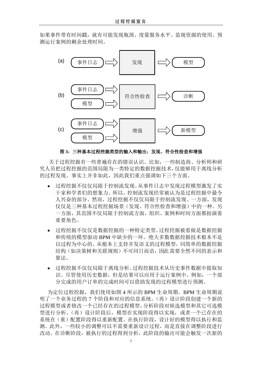如果事件带有时间戳,就有可能发现瓶颈、度量服务水平、监视资源的使用、预 测运行案例的剩余处理时间。



图 **3**:三种基本过程挖掘类型的输入和输出:发现、符合性检查和增强

关于过程挖掘有一些普遍存在的错误认识。比如,一些制造商、分析师和研 究人员把过程挖掘的范围局限为一类特定的数据挖掘技术,仅能够用于离线分析 的过程发现。事实上并非如此,因此我们重点强调如下三个方面。

- 过程挖掘不仅仅局限于控制流发现。从事件日志中发现过程模型激发了实 干家和学者们的想象力。所以,控制流发现经常被认为是过程挖掘中最令 人兴奋的部分。然而,过程挖掘不仅仅局限于控制流发现。一方面,发现 仅仅是三种基本过程挖掘场景(发现、符合性检查和增强)中的一种。另 一方面,其范围不仅局限于控制流方面,组织、案例和时间方面都扮演着 重要角色。
- 过程挖掘不仅仅是数据挖掘的一种特定类型。过程挖掘被看做是数据挖掘 和传统的模型驱动 BPM 中缺少的一环。绝大多数数据挖掘技术根本不是 以过程为中心的。从根本上支持并发语义的过程模型,同简单的数据挖掘 结构(如决策树和关联规则)不可同日而语,因此需要全然不同的表示和 算法。
- 过程挖掘不仅仅局限于离线分析。过程挖掘技术从历史事件数据中提取知 识。尽管使用历史数据,但是结果可以应用于运行案例中。例如,一个部 分完成的用户订单的完成时间可以借助发现的过程模型进行预测。

为定位过程挖掘,我们使用如图 4 所示的 BPM 生命周期。BPM 生命周期说 明了一个业务过程的 7 个阶段和对应的信息系统。(再)设计阶段创建一个新的 过程模型或者修改一个已经存在的过程模型。分析阶段对候选模型和其它可选模 型进行分析。(再)设计阶段后,模型在实现阶段得以实现,或者一个已存在的 系统在(重)配置阶段得以重新配置。在执行阶段,设计好的模型得以执行和监 测。此外,一些较小的调整可以不需要重新设计过程,而是直接在调整阶段进行 改动。在诊断阶段,被执行的过程得到分析,此阶段的输出可能会触发一次新的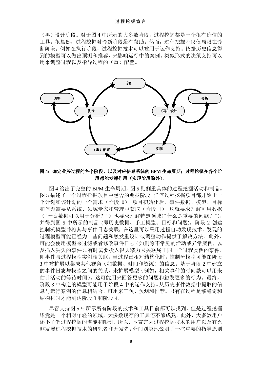(再)设计阶段。对于图 4 中所示的大多数阶段,过程挖掘都是一个很有价值的 工具。很显然,过程挖掘对诊断阶段最有帮助。然而,过程挖掘不仅仅局限在诊 断阶段。例如在执行阶段,过程挖掘技术可以被用于运作支持。依据历史信息得 到的模型可以做出预测和推荐,来影响运行中的案例。类似形式的决策支持可以 用来调整过程以及指导过程的(重)配置。



图 **4**:确定业务过程的各个阶段,以及对应信息系统的 **BPM** 生命周期;过程挖掘在各个阶 段都能发挥作用(实现阶段除外)。

图 4 给出了完整的 BPM 生命周期,图 5 则侧重具体的过程挖掘活动和制品。 图 5 描述了一个过程挖掘项目中包含的典型阶段。任何过程挖掘项目都开始于一 个计划和该计划的一个需求(阶段 0)。项目初始化后,事件数据、模型、目标 和问题需要从系统、领域专家和管理中获取(阶段 1)。这就要求理解可用数据 ("什么数据可以用于分析?"),也要求理解特定领域("什么是重要的问题?"), 并得到图 5 中所示的制品 (即历史数据、手工模型、目标和问题)。阶段 2 创建 控制流模型并将其与事件日志关联,在这里可以采用过程自动发现技术。发现的 过程模型可能已经为一些问题和触发重设计或调整动作提供了解决方法。此外, 可能会使用模型来过滤或者修改事件日志(如删除不常见的活动或异常案例,以 及插入丢失的事件)。有时需要投入很大精力来关联属于同一个过程实例的事件, 即事件与过程模型实例相关联。当过程已相对结构化时,控制流模型可能在阶段 3 中被扩展以集成其他视角(如数据、时间和资源)的信息。基于阶段 2 中建立 的事件日志与模型之间的关系,来扩展模型(例如,相关事件的时间戳可以用来 估计活动的等待时间)。这可能用来回答更多的问题和触发更多的行为。最终, 阶段 3 中构造的模型可能用于阶段 4 中的运作支持。从历史事件数据中提取的信 息与运行案例的信息相结合,可用来干预、预测和推荐。只有在过程足够稳定和 结构化时才能到达阶段 3 和阶段 4。

尽管支持图 5 中所示所有阶段的技术和工具目前都可以找到,但是过程挖掘 毕竟是一个相对年轻的领域,大多数现存的工具还不够成熟。此外,大多数用户 还不了解过程挖掘的潜能和限制。所以,本宣言为过程挖掘技术的用户以及有兴 趣发展过程挖掘技术的研究者和开发者,分门别类地说明了一些重要的指导原则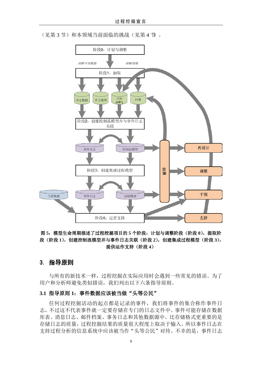(见第3节)和本领域当前面临的挑战(见第4节)。



## 图 **5**:模型生命周期描述了过程挖掘项目的 **5** 个阶段:计划与调整阶段(阶段 **0**),提取阶 段(阶段 **1**),创建控制流模型并与事件日志关联(阶段 **2**),创建集成过程模型(阶段 **3**), 提供运作支持(阶段 **4**)

## 3. 指导原则

与所有的新技术一样,过程挖掘在实际应用时会遇到一些常见的错误。为了 用户和分析师避免类似错误,我们列出以下六条指导原则。

## 3.1 指导原则 1: 事件数据应该被当做"头等公民"

任何过程挖掘活动的起点都是记录的事件,我们将事件的集合称作事件日 志,不过这不代表事件就一定要存储在专门的日志文件中。事件可能存储在数据 库表、消息日志、邮件档案、事务日志和其他数据源中。比存储格式更重要的是 存储日志的质量,过程挖掘结果的质量很大程度上取决于输入。所以事件日志在 支持过程分析的信息系统中应该被当作"头等公民"对待。不幸的是,事件日志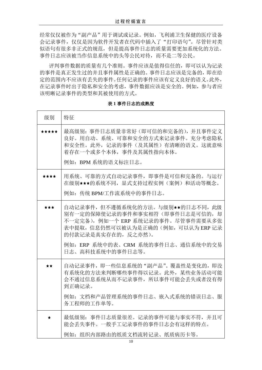经常仅仅被作为"副产品"用于调试或记录。例如,飞利浦卫生保健的医疗设备 会记录事件,仅仅是因为软件开发者在代码中插入了"打印语句"。尽管针对类 似语句有很多非正式的规范,但是提高事件日志的质量需要更加系统化的方法。 事件日志应该被当作信息系统中的头等公民对待,而不是二等公民。

评判事件数据的质量有几个准则。事件应该是值得信任的,即可以认为记录 的事件是真正发生过的并且事件属性是正确的。事件日志应该是完备的,即在给 定的范围内不应该有丢失的事件。任何记录的事件应该有定义良好的语义。此外, 在记录事件时出于隐私和安全的考虑,事件数据应该是安全的。例如,参与者应 该明晰记录事件的类型和其被使用的方式。

# 级别 |特征 \*\*\*\*\* 最高级别:事件日志质量非常好(即可信的和完备的),并且事件定义 良好。用自动、系统、可靠和安全的方式来记录事件。充分考虑隐私 和安全性。此外,记录的事件(及其属性)有清晰的语义。这就意味 着存在一个或多个本体,事件及其属性指向本体。 例如:BPM 系统的语义标注日志。 用系统、可靠的方式自动记录事件,即事件是可信和完备的。与运行 \*\*\*\* 在级别★★★的系统不同,显式支持过程实例(案例)和活动等概念。 例如:传统 BPM/工作流系统中的事件日志。 自动记录事件,但不遵循系统化的方法。与级别\*\*的日志不同,此级 \*\*\* 别有一定的保障使记录的事件和事实相符(即事件日志是可信的,却 不一定完备),例如一个 ERP 系统记录的事件。尽管事件需要从多张 表中提取,信息仍然可以被认为是正确的(例如,可以认为 ERP 记录 的付款记录是真实存在的,反之亦然)。 例如:ERP 系统中的表、CRM 系统的事件日志、通信系统中的交易 日志、高科技系统中的事件日志等。 自动记录事件, 即一些信息系统的"副产品"。覆盖性是变化的, 即没  $\star\star$ 有系统化的方法来判断哪些事件得以记录。此外,某些业务活动可能 会不通过信息系统从而不记录事件,所以事件可能会丢失或者没有得 到正确记录。 例如:文档和产品管理系统的事件日志、嵌入式系统的错误日志、服 务工程师的工作单等。 最低级别:事件日志质量很差。记录的事件可能与事实不符,并且可  $\bullet$ 能会丢失事件。一般手工记录事件的事件日志会有这样的特点。 例如:组织内部路由的纸质文档流转记录、纸质病历卡等。

## 表 **1** 事件日志的成熟度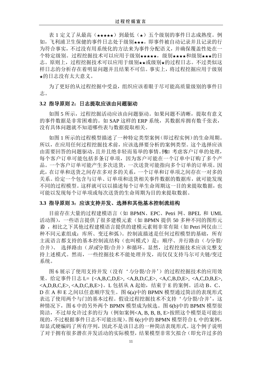表 1 定义了从最高(★★★★)到最低(★)五个级别的事件日志成熟度。例 如,飞利浦卫生保健的事件日志处于级别★★★,即事件被自动记录并且记录的行 为符合事实,不过没有用系统化的方法来为事件分配语义,并确保覆盖性处在一 个特定级别。过程挖掘技术可以应用于级别★★★★,级别★★★和级别★★★的日 志。原则上,过程挖掘技术可以应用于级别★★或级别★的过程日志。不过类似这 样日志的分析存在着明显问题并且结果不可信。事实上,将过程挖掘应用于级别 ★的日志没有太大意义。

为了更好的从过程挖掘中受益,组织应该着眼于尽可能高质量级别的事件日 志。

### **3.2** 指导原则 **2**:日志提取应该由问题驱动

如图 5 所示, 过程挖掘活动应该由问题驱动。如果问题不清晰, 提取有意义 的事件数据是非常困难的。如 SAP 这样的 ERP 系统, 其数据库拥有数千张表, 没有具体问题就不知道哪些表与数据提取相关。

如图 1 所示的过程模型描述了一种特定类型案例(即过程实例)的生命周期。 所以,在应用任何过程挖掘技术前,应该选择要分析的案例类型。这个选择应该 由需要回答的问题驱动,且并且绝非轻而易举的事情。例如 考虑客户订单的处理, 每个客户订单可能包括多条订单项,因为客户可能在一个订单中订购了多个产 品。一个客户订单可能产生多次送货,一次送货可能指向多个订单的订单项。因 此,在订单和送货之间存在多对多的关系,一个订单和订单项之间存在一对多的 关系。给定一个包含与订单、订单项和送货相关事件数据的数据库,就可能发现 不同的过程模型。这样就可以以描述每个订单生命周期这一目的来提取数据,也 可能以发现每个订单项或每次送货的生命周期为目的来提取数据。

## **3.3** 指导原则 **3**:应该支持并发、选择和其他基本控制流结构

目前存在大量的过程建模语言(如 BPMN、EPC、Petri 网、BPEL 和 UML 活动图),一些语言提供了很多建模元素(如 BPMN 提供 50 多种不同的图形元 素),相比之下其他过程建模语言提供的建模元素则非常有限(如 Petri 网仅由三 种不同元素组成:库所、变迁和弧)。控制流描述是任何过程模型的基础,所有 主流语言都支持的基本控制流结构(也叫模式)是:顺序、并行路由(与分裂/ 合并)、 选择路由(异或分裂/合并)和循环。显然, 过程挖掘技术应该完整支 持上述模式。然而,一些挖掘技术不能处理并发,而仅仅支持马尔可夫链/变迁 系统。

图 6 展示了使用支持并发(没有'与分裂/合并')的过程挖掘技术的应用效 果。给定事件日志 L= {<A,B,C,D,E>, <A,B,D,C,E>, <A,C,B,D,E>, <A,C,D,B,E>, <A,D,B,C,E>, <A,D,C,B,E>}。L 包括从 A 起始, 结束于 E 的案例。活动 B、C、 D 在 A 和 E 之间以任意顺序发生。图 6(a)中的 BPMN 模型通过简洁的表现形式 表达了使用两个与门的基本过程。假设过程挖掘技术不支持'与分裂/合并',这 种情况下,图 6 中的另外两个 BPMN 模型成为候选。图 6(b)中的 BPMN 模型很 简洁,不过却允许过多的行为(例如案例<A, B, B, B, E>按照这个模型是可能出 现的,不过根据事件日志不可能出现)。图 6(c)中的 BPMN 模型符合 L 中的案例, 却显式硬编码了所有序列,因此不是该日志的一种简洁表现形式。这个例子说明 了对于拥有很多潜在并发活动的实际模型,结果模型非常欠拟合(即允许过多的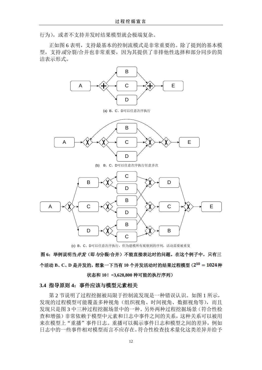行为),或者不支持并发时结果模型就会极端复杂。

正如图 6 表明,支持最基本的控制流模式是非常重要的。除了提到的基本模 型,支持或分裂/合并也非常重要,因为其提供了非排他性选择和部分同步的简 洁表示形式。



(c) B、C、D可以任意次序执行,但为建模所有观察到的序列,活动需要被重复

图 **6**:举例说明当并发(即与分裂**/**合并)不能直接表达时的问题。在这个例子中,只有三 个活动 B、C、D 是并发的, 想象一下当有 10 个并发活动时的结果过程模型(2<sup>10</sup> = 1024 种

状态和 **10**!**=3,628,800** 种可能的执行序列)

#### **3.4** 指导原则 **4**:事件应该与模型元素相关

第 2 节说明了过程挖掘被局限于控制流发现是一种错误认识。如图 1 所示, 发现的过程模型可能覆盖多种视角(组织视角、时间视角、数据视角等),而且 发现只是图 3 中三种过程挖掘场景中的一种。另外两种过程挖掘场景(符合性检 查和增强)非常依赖于模型中元素和日志中事件之间的关系,这种关系可以被用 来在模型上"重播"事件日志。重播可以揭示事件日志和模型之间的差异,例如 日志中的一些事件相对模型而言不应存在。符合性检查技术量化这类差异并给予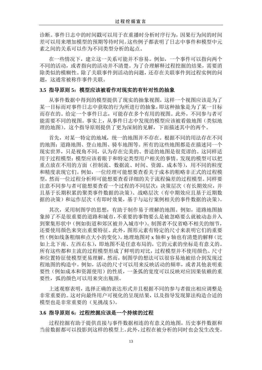诊断。事件日志中的时间戳可以用于在重播时分析时序行为,因果行为间的时间 差可以用来增加模型的预期等待时间。这些例子都表明了日志中事件和模型中元 素之间的关系可以作为不同类型分析的起点。

在一些情况下,建立这一关系可能并不容易。例如,一个事件可以指向两个 不同的活动,或者指向的活动并不清楚。为了合理解释过程挖掘的结果,需要消 除类似的模糊性。除了关联事件到活动的问题,还存在关联事件到过程实例的问 题,这通常被称作事件关联。

## **3.5** 指导原则 **5**:模型应该被看作对现实的有针对性的抽象

从事件数据中得到的模型提供了现实的抽象视图,这样一个视图应该是为了 某一目标而对事件日志中获取的行为所进行的抽象,即这种抽象是为了某一目标 而存在的。给定一个事件日志,可能存在多个有用的视图。此外,不同参与者可 能需要不同的视图。事实上,从事件日志中发现的模型应该被看做地图(类似地 理的地图)。这个指导原则提供了更为深刻的见解,下面描述其中的两个。

首先,对某一特定的地域,统一的地图并不存在。根据不同的用法存在不同 的地图:道路地图、登山地图、骑车地图等。所有的这些地图都是在描述同一个 现实世界,只是视角不同,认为存在完美的、普适的地图是很荒谬的。这同样适 用于过程模型:模型应该着眼于和特定类型用户相关的事情。发现的模型可以把 重点放在不用的方面(控制流、数据流、时间、资源、成本等),用不同的粒度 和精度表现它们。例如,一位经理可能想要查看关于成本的粗略非正式的过程模 型,然而一位过程分析师可能想要查看详细的关于流程偏差的过程模型。同样要 注意不同参与者可能想要查看一个过程的不同层次:决策层次(有长期效应,并 且基于长期积累的聚类事件数据的决策)、战略层次(有中期效应且基于近期数 据的决策)和运作层次(有即时效果,基于与运行案例相关的事件数据的决策)。

其次,采用制图学的思想,有助于制作易于理解的地图。例如,道路地图抽 象掉了不是很重要的道路和城市,不重要的事物要么是被忽略要么就被动态并入 到聚集形状中(例如街道和郊区被并入城市中)。制图者不仅省略不相关的细节, 还要使用颜色来突出重要特征。此外,图形元素有特定的尺寸来表明它们的重要 性(例如线条粗细和点大小的变化)。地理地图对 x 轴和 y 轴也有清楚的解释(比 如上北下南、左西右东),即地图不是任意布局的,它的元素的坐标是有意义的。 所有这些都和主流的过程模型形成了鲜明的对比,过程模型并不使用颜色、尺寸 和位置特征使模型更易理解。然而,制图学的想法可以很容易地被结合到发现过 程地图的构造中。例如,活动的尺寸可以用来反映活动的频率,或者其他表明重 要性(例如成本和资源使用)的性质,一条弧的宽度可以反映对应因果依赖的重 要性, 弧的颜色可以用来突出瓶颈。

上述观察表明,选择正确的表达形式并且根据不同的参与者做出相应调整是 非常重要的。这对向最终用户可视化的呈现结果,以及指导发现算法构造合适的 模型也是非常重要的(见挑战 5)。

## 3.6 指导原则 6: 过程挖掘应该是一个持续的过程

过程挖掘有助于提供直接与事件数据相连的有意义的地图,历史事件数据和 当前数据都可以投影到这样的模型上。此外,过程在被分析的同时也会发生改变。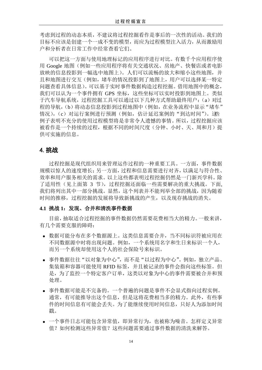考虑到过程的动态本质,不建议将过程挖掘看作是事后的一次性的活动。我们的 目标不应该是创建一个一成不变的模型,而应为过程模型注入活力,从而激励用 户和分析者在日常工作中经常查看它们。

可以把这一方面与使用地理标记的应用程序进行对比。有数千个应用程序使 用 Google 地图(例如一些应用程序将有关交通状况、房地产、快餐店或者电影 放映的信息投影到一幅选中地图上)。人们可以流畅的放大和缩小这些地图,并 且和地图进行交互(例如,堵车的情况投影到了地图上,用户可以选择某一特定 问题查看具体信息)。可以基于实时事件数据构造过程挖掘。借用地图中的概念, 我们可以认为一个事件拥有 GPS 坐标,这些坐标可以实时投影到地图上。类似 于汽车导航系统,过程挖掘工具可以通过以下几种方式帮助最终用户:(a)对过 程的导航,(b)将动态信息投影到过程地图中(例如,在业务流程中显示"堵车" 情况),(c)对运行案例进行预测(例如,估计延迟案例的"到达时间")。这些 例子表明不充分的使用过程模型将是非常令人遗憾的事情。所以,过程挖掘应该 被看作是一个持续的过程,根据不同的时间尺度(分钟、小时、天、周和月)提 供可实施的信息。

## 4.挑战

过程挖掘是现代组织用来管理运作过程的一种重要工具。一方面,事件数据 规模以惊人的速度增长;另一方面,过程和信息需要进行对齐,以满足与符合性、 效率和用户服务相关的需求。以上这些都表明过程挖掘仍然是一门新兴学科。除 了适用性(见上面第 3 节), 过程挖掘还面临一些需要解决的重大挑战。下面, 我们将列出其中一部分挑战。显然,这个列表并不能列举全部的挑战,因为随着 时间的推移,过程挖掘的发展将导致新挑战的产生,以及现存挑战的消失。

#### **4.1** 挑战 **1**:发现、合并和清洗事件数据

目前,抽取适合过程挖掘的事件数据仍然需要花费相当大的精力。一般来讲, 有几个需要克服的障碍:

- 数据可能分布在多个数据源上。这类信息需要合并,当不同标识符被应用在 不同数据源中时将出现问题。例如,一个系统用名字和生日来标识一个人, 而另一个系统却使用这个人的社会保险号来标识。
- 事件数据往往"以对象为中心",而不是"以过程为中心"。例如,独立产品、 集装箱和容器可能使用 RFID 标签,并且被记录的事件会指向这些标签。但 是,为了监控一个特定客户订单,这类以对象为中心的事件需要被合并和预 处理。
- 事件数据可能是不完备的。一个普遍的问题是事件不会显式指向过程实例。 通常,有可能推导出这个信息,但是这将花费相当多的精力。此外,有些事 件的时间信息有可能会丢失。为了能继续使用时间信息,只好人为添加时间 戳。
- 一个事件日志可能包含异常值,即异常行为,也被称为噪音。怎样定义异常 值?如何检测这些异常值?这些问题需要通过事件数据的清洗来解答。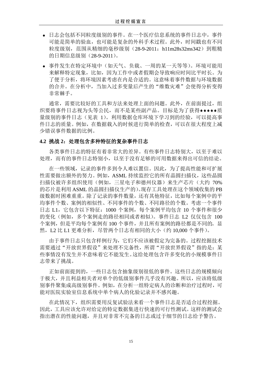- 日志会包括不同粒度级别的事件。在一个医疗信息系统的事件日志中,事件 可能是简单的验血,也可能是复杂的外科手术过程。此外,时间戳也有不同 粒度级别, 范围从精细的毫秒级别 (28-9-2011: h11m28s32ms342) 到粗糙 的日期信息级别(28-9-2011)。
- 事件发生在特定环境中(如天气、负载、一周的某一天等等)。环境可能用 来解释特定现象,比如,因为工作中或者假期会导致响应时间比平时长。为 了便于分析,将环境因素考虑在内是合适的。这意味着事件数据与环境数据 的合并。在分析中,当加入过多变量后产生的"维数灾难"会使得分析变得 非常棘手。

通常,需要比较好的工具和方法来处理上面的问题。此外,在前面提过,组 织要将事件日志视为头等公民,而不是某些副产品。目标是为了获得\*\*\*\*质 量级别的事件日志(见表 1)。利用数据仓库环境下学习到的经验,可以提高事 件日志的质量。例如,在数据载入的时候进行简单的检查,可以在很大程度上减 少错误事件数据的比例。

#### **4.2** 挑战 **2**:处理包含多种特征的复杂事件日志

各类事件日志的特征有着非常大的差异。有些事件日志特别大,以至于难以 处理,而有的事件日志特别小,以至于没有足够的可用数据来得出可信的结论。

在一些领域,记录的事件多到令人难以置信。因此,为了提高性能和可扩展 性需要做出额外的努力。例如,ASML 持续监控它的所有晶圆扫描仪,这些晶圆 扫描仪被许多组织使用(例如,三星电子和德州仪器)来生产芯片(大约 70% 的芯片是利用 ASML 的晶圆扫描仪生产的)。现存工具处理在这个领域收集的 PB 级数据时困难重重。除了记录的事件数量,还有其他特征,比如每个案例中的平 均事件个数、案例的相似性、不同事件的个数、不同路径的个数。考虑一个事件 日志 L1,它包含以下特征:1000 个案例,每个案例平均包含 10 个事件和很少 的变化(例如,多个案例走的路径相同或者相似)。事件日志 L2 仅仅包含 100 个案例,但是平均每个案例有 100 个事件,并且所有案例的路径都是不同的。显 然, L2 比 L1 更难分析, 尽管两个日志有相同的大小(约 10,000 个事件)。

由于事件日志只包含样例行为,它们不应该被假定为完备的。过程挖掘技术 需要通过"开放世界假设"来处理不完备性,所谓"开放世界假设"指的是:某 些事情没有发生并不意味着它不能发生。这给处理包含许多变化的小规模事件日 志带来了挑战。

正如前面提到的,一些日志包含抽象级别很低的事件。这些日志的规模倾向 于极大,并且利益相关者对单个的低级别事件几乎没有兴趣。所以,应该将低级 别事件聚集成高级别事件。例如,在分析一组特定病人的诊断和治疗过程时,可 能对医院实验室信息系统中单个病人的化验记录并不感兴趣。

在此情况下,组织需要用反复试验法来看一个事件日志是否适合过程挖掘。 因此,工具应该允许对给定的特定数据集进行快速的可行性测试。这样的测试会 指出潜在的性能问题,并且对非常不完备的日志或过于细节的日志给予警告。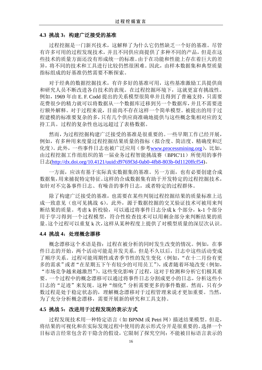#### **4.3** 挑战 **3**:构建广泛接受的基准

过程挖掘是一门新兴技术,这解释了为什么它仍然缺乏一个好的基准。尽管 有许多可用的过程发现技术,并且不同供应商提供了多种不同的产品,但是在这 些技术的质量方面还没有形成统一的标准。由于在功能和性能上存在着巨大的差 异,将不同的技术和工具进行比较仍然很困难。因此,由样本数据集和典型质量 指标组成的好基准仍然需要不断探索。

对于经典的数据挖掘技术,有许多好的基准可用,这些基准激励工具提供商 和研究人员不断改进各自技术的表现。在过程挖掘环境下,这就更富有挑战性。 例如,1969 年由 E. F. Codd 提出的关系模型很简单并且得到了普遍支持,只需要 花费很少的精力就可以将数据从一个数据库迁移到另一个数据库,并且不需要进 行额外解释。对于过程来说,目前尚不存在这样一个简单模型。被提出的用于过 程建模的标准要复杂的多,只有几个供应商准确地提供与这些概念集相对应的支 持工具。过程的复杂性也远远超过了表格数据。

然而,为过程挖掘构建广泛接受的基准是很重要的。一些早期工作已经开展, 例如,有多种用来度量过程挖掘结果质量的指标(拟合度、简洁度、精确度和泛 化度)。此外,一些事件日志也被广泛应用(参考[www.processmining.org](http://www.processmining.org/)),比如, 由过程挖掘工作组组织的第一届业务过程智能挑战赛(BPIC'11)所使用的事件 日志[\(http://dx.doi.org/10.4121/uuid:d9769f3d-0ab0-4fb8-803b-0d1120ffcf54\)](http://dx.doi.org/10.4121/uuid:d9769f3d-0ab0-4fb8-803b-0d1120ffcf54)。

一方面,应该有基于实际真实数据集的基准。另一方面,也有必要创建合成 数据集,用来捕捉特定特征。这样的合成数据集有助于开发特定的过程挖掘技术, 如针对不完备事件日志、有噪音的事件日志,或者特定的过程群体。

除了构建广泛接受的基准,也需要在某些判别过程挖掘结果的质量标准上达 成一致意见(也可见挑战 6)。此外,源于数据挖掘的交叉验证技术可被用来判 断结果的质量。考虑 k 折校验, 可以通过将事件日志分成 k 个部分, k-1 个部分 用于学习得到一个过程模型,符合性检查技术可以用剩余部分来判断结果的质 量。这个过程可以重复 k 次,这样从某种程度上提供了对模型质量的深层次认识。

#### **4.4** 挑战 **4**:处理概念漂移

概念漂移这个术语是指:过程在被分析的同时发生改变的情况。例如,在事 件日志的开始,两个活动可能是并发关系,但是不久以后,日志中这些活动变成 了顺序关系。过程可能周期性或者季节性的发生变化(例如,"在十二月份有更 多的需求"或者"在星期五下午有较少的可用员工"),或者随着环境改变(例如, "市场竞争越来越激烈")。这些变化影响了过程,这对于检测和分析它们极其重 要。一个过程中的概念漂移可以通过将事件日志分割成更小的日志,分析这些小 日志的"足迹"来发现。这种"细化"分析需要更多的事件数据。然而,只有少 数过程是处于稳定状态的,理解概念漂移对于过程管理来说才更加重要。当然, 为了充分分析概念漂移,需要开展新的研究和工具支持。

#### 4.5 挑战 5: 改进用于过程发现的表示方式

过程发现技术用一种特定语言(如 BPNM 或 Petri 网)描述结果模型。但是, 将结果的可视化和在实际发现过程中使用的表示形式分开是很重要的。选择一个 目标语言经常包含若干隐含的假设,它限制了探究空间:不能被目标语言表示的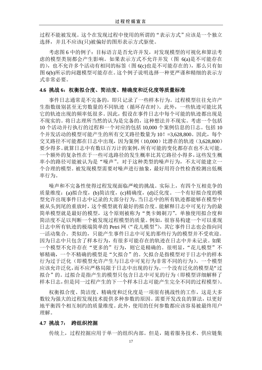过程不能被发现。这个在发现过程中使用的所谓的"表示方式"应该是一个独立 选择,并且不应该(只)被偏好的图形表示方式驱使。

考虑图 6 中的例子: 目标语言是否允许并发, 对发现模型的可视化和算法考 虑的模型类别都会产生影响。如果表示方式不允许并发(图 6(a)是不可能存在 的),也不允许多个活动有相同的标签(图 6(c)也是不可能存在的),那么只有如 图 6(b)所示的问题模型可能存在。这个例子说明选择一种更严谨和精细的表示方 式非常必要。

## 4.6 挑战 6: 权衡拟合度、简洁度、精确度和泛化度等质量标准

事件日志通常是不完备的,即只记录了一些样本行为。过程模型往往允许产 生指数级别甚至无穷数量的不同轨迹(循环存在时)。此外,一些轨迹可能比其 它的轨迹出现的频率低很多。因此,假设在事件日志中每个可能的轨迹都出现是 不现实的。将日志理所当然的认为是完备的,这种想法并不现实。考虑一个包括 10 个活动并行执行的过程和一个对应的包括 10,000 个案例信息的日志。包括 10 个并发活动的模型可能产生的所有交叉路径数量为 10! = 3,628,800。因此, 每个 交叉路径不可能都在日志中出现,因为案例(10,000)比潜在的轨迹(3,628,800) 要少得多。就算日志中有数以百万计的案例,所有可能的变化都存在也不太可能。 一个额外的复杂性在于一些可选路径的发生概率比其它路径小得多,这些发生概 率小的路径可能被认为是"噪声"。对于这种类型的噪声行为,不太可能建立一 个合理的模型。被发现模型需要对噪声进行抽象,最好用符合性检查检测出低概 率行为。

噪声和不完备性使得过程发现面临严峻的挑战。实际上,有四个互相竞争的 质量维度:(a)拟合度,(b)简洁度,(c)精确度,(d)泛化度。一个有好拟合度的模 型允许出现事件日志中记录的大部分行为。当日志中的所有轨迹都能够在模型中 被从头到尾的重放时,这个模型就有最好的拟合度。能解释日志中可见行为的最 简单模型就是最好的模型,这个原则被称为"奥卡姆剃刀"。单独使用拟合度和 简洁度不足以判断一个被发现过程模型的质量。例如,很容易构建一个可以重现 日志中所有轨迹的极端简单的 Petri 网("花儿模型"),其它事件日志也会指向同 一活动集合。类似的,只能产生事件日志中可见的那些行为的模型并不受欢迎。 因为日志中只包含了样本行为,有很多可能存在的轨迹在日志中并未记录。如果 一个模型不允许存在"更多的"行为,则它是精确的。很明显,"花儿模型"不 够精确,一个不精确的模型是"欠拟合"的。欠拟合是指模型对于日志中的样本 行为过于泛化(即模型允许产生与日志中可见行为非常不同的行为)。一个模型 应该允许泛化,而不应严格局限于日志中出现的行为。一个没有泛化的模型是"过 拟合"的。过拟合是指产生的模型只包含日志中可见的行为(即模型详细解释了 样本日志,但是同一过程产生的下一个样本日志可能产生完全不同的过程模型)。

权衡拟合度、简洁度、精确度和泛化度是一项很有挑战性的工作,这是大多 数较为强大的过程发现技术提供多种参数的原因。需要开发改良的算法,以更好 地平衡四个相互制约的质量维度。此外,使用的任何参数都应该容易被最终用户 理解。

#### **4.7** 挑战 **7**: 跨组织挖掘

传统上,过程挖掘应用于单一的组织内部。但是,随着服务技术、供应链集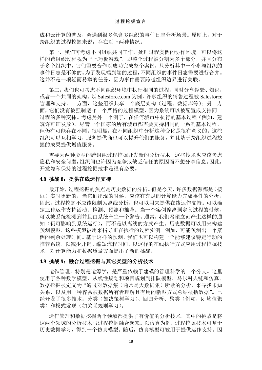成和云计算的普及,会遇到很多包含多组织的事件日志分析场景。原则上,对于 跨组织的过程挖掘来说,存在以下两种情况。

第一,我们可考虑不同组织共同工作,处理过程实例的协作环境。可以将这 样的跨组织过程视为"七巧板游戏",即整个过程被分割为多个部分,并且分布 于多个组织中,它们需要合作以成功完成整个案例,只分析其中一个参与组织的 事件日志是不够的。为了发现端到端的过程,不同组织的事件日志需要进行合并。 这并不是一项轻而易举的任务,因为事件需要跨越组织边界进行关联。

第二,我们也可考虑不同组织环境中执行相同的过程,同时分享经验、知识, 或者一个共同的架构。以 Salesforce.com 为例, 许多组织的销售过程被 Salesforce 管理和支持。一方面,这些组织共享一个底层架构(过程、数据库等);另一方 面,它们没有被强制遵守一个严格的过程模型,因为系统可以被配置成支持同一 过程的多种变体。考虑另外一个例子,在任何城市中执行的基本过程(例如,建 筑许可证发放)。尽管一个国家的所有城市都需要支持相同的一系列基本过程, 但仍有可能存在不同。很明显,在不同组织中分析这种变化是很有意义的。这些 组织可以互相学习,服务提供商也可以提升他们的服务,并且基于跨组织过程挖 掘的成果提供增值服务。

需要为两种类型的跨组织过程挖掘开发新的分析技术。这些技术也应该考虑 隐私和安全问题,组织间也许因为竞争或缺乏信任的原因而不想分享信息。因此, 开发隐私保持的过程挖掘技术是很有必要。

#### **4.8** 挑战 **8**:提供在线运作支持

最开始,过程挖掘的焦点是历史数据的分析。但是今天,许多数据源都是(接 近)实时更新的,当它们出现的时候,应该有充足的计算能力完成事件的分析。 因此,过程挖掘不应该限制为离线分析,也可以用来提供在线运作支持。可以确 定三种运作支持活动:检测、预测和推荐。当一个案例偏离预定义过程的时候, 可以被系统检测到并且由系统产生一个警告。通常,我们希望立刻产生这样的通 知(仍可影响到系统运行),而不是以离线的方式产生。历史数据可以用来构建 预测模型,这些模型被用来指导正在执行的过程实例。例如,可能预测出一个案 例的剩余处理时间。基于这样的预测,我们也可以构建一个能够建议特定行动的 推荐系统,以减少开销、缩短流程时间。以这样的在线执行方式应用过程挖掘技 术,对计算能力和数据质量方面提出了新的挑战。

#### **4.9** 挑战 **9**:融合过程挖掘与其它类型的分析技术

运作管理,特别是运筹学,是严重依赖于建模的管理科学的一个分支。这里 使用了各种数学模型,从线性规划和项目规划到排队模型、马尔科夫链和仿真。 数据挖掘被定义为"通过对数据集(通常是大数据集)所做的分析,来寻找未知 关系,以及用一种容易被数据所有者理解且有用的新型方式总结概括数据"。已 经开发了很多技术: 分类(如决策树学习)、回归分析、聚类(例如, k 均值聚 类)和模式发现(如关联规则学习)。

运作管理和数据挖掘两个领域都提供了有价值的分析技术,其中的挑战是将 这两个领域的分析技术与过程挖掘融合起来。以仿真为例,过程挖掘技术可基于 历史数据学习,得到一个仿真模型。随后,仿真模型可被用于提供运作支持。因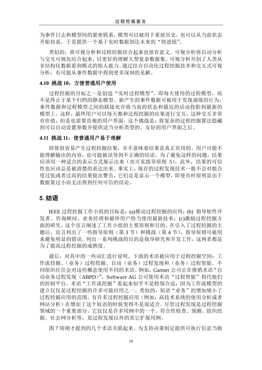为事件日志和模型间的紧密联系,模型可以被用于重放历史,也可以从当前状态 开始仿真,于是提供一个基于实时数据到达未来的"快进钮"。

类似的,将可视分析和过程挖掘结合起来也很有意义。可视分析将自动分析 与交互可视化结合起来,以更好的理解大型复杂数据集。可视分析开创了人类从 非结构化数据看到模式的惊人能力。通过结合自动化过程挖掘技术和交互式可视 分析,有可能从事件数据中得到更多深刻的见解。

## **4.10** 挑战 **10**:方便普通用户使用

过程挖掘的目标之一是创造"实时过程模型",即每天使用的过程模型,而 不是终止于某个归档的静态模型。新产生的事件数据可被用于发现涌现的行为, 事件数据和过程模型之间的联接允许将当前的状态和最近的活动投影到最新的 模型上。这样,最终用户可以每天都和过程挖掘的结果进行交互,这种交互非常 有价值,但是也需要直观的用户界面。这个挑战是:将复杂的过程挖掘算法隐藏 到可以自动设置参数并提供适当分析类型的、友好的用户界面之后。

## **4.11** 挑战 **11**:使普通用户易于理解

即使很容易产生过程挖掘结果,并不意味着结果是真正有用的。用户可能不 能理解输出的内容,也可能被误导到不正确的结论。为了避免这样的问题,结果 应该用一种适合的表示方式展示出来(也可见指导原则 5)。此外,结果的可信 性也应该总是被清楚的表达出来。事实上,现存的过程发现技术一般不会对拟合 度过低或者过高的结果提出警告,它们总是显示一个模型,即使有时很明显由于 数据量过小而无法得到任何可信的结论。

## 5.结语

IEEE 过程挖掘工作小组的目标是:(a)推动过程挖掘的应用;(b) 指导软件开 发者、咨询顾问、业务经理和最终用户恰当使用最新技术;(c)激励过程挖掘方 面的研究。这个宣言阐述了工作小组的主要原则和目的。在引入了过程挖掘的主 题后, 宣言列出了一些指导原则(第3节)和挑战(第4节)。指导原则可被用 来避免明显的错误,列出一系列挑战的目的是指导研究和开发工作,这两者都是 为了提高过程挖掘的成熟度。

最后,对其中的一些词汇进行说明。下面的术语被应用于过程挖掘空间:工 作流挖掘、(业务)过程挖掘、自动(业务)过程发现和(业务)过程智能。不 同组织往往会对这些概念使用不同的术语。例如,Gartner 公司正在推销术语"自 动业务过程发现(ABPD)", Software AG 公司使用术语"过程智能"指代他们 的控制平台。术语"工作流挖掘"看起来似乎不是特别合适,因为工作流模型的 建立仅仅是过程挖掘的许多可能应用之一。类似的,短语"业务"的增加缩小了 过程挖掘应用的范围。有许多过程挖掘应用(例如,高技术系统的使用分析或者 网站分析)在增加了这个短语的时候变得不是很适合。尽管过程发现是过程挖掘 领域的一个重要部分,它仅仅是许多用例中的一个。符合性检查、预测、组织挖 掘、社会网分析等,是过程发现以外的其它扩展用例。

图 7 将刚才提到的几个术语关联起来。为支持决策制定提供可执行信息当做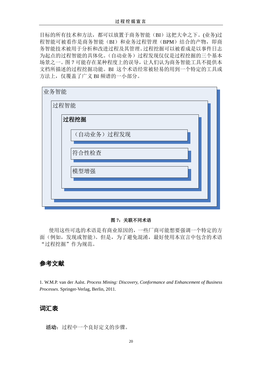目标的所有技术和方法,都可以放置于商务智能(BI)这把大伞之下。(业务)过 程智能可被看作是商务智能(BI)和业务过程管理(BPM)结合的产物,即商 务智能技术被用于分析和改进过程及其管理。过程挖掘可以被看成是以事件日志 为起点的过程智能的具体化。(自动业务)过程发现仅仅是过程挖掘的三个基本 场景之一。图 7 可能存在某种程度上的误导,让人们认为商务智能工具不提供本 文档所描述的过程挖掘功能。BI 这个术语经常被轻易的用到一个特定的工具或 方法上,仅覆盖了广义 BI 频谱的一小部分。

| 业务智能 |            |  |
|------|------------|--|
| 过程智能 |            |  |
|      | 过程挖掘       |  |
|      | (自动业务)过程发现 |  |
|      | 符合性检查      |  |
|      | 模型增强       |  |
|      |            |  |
|      |            |  |

#### 图 **7**:关联不同术语

使用这些可选的术语是有商业原因的,一些厂商可能想要强调一个特定的方 面(例如,发现或智能)。但是,为了避免混淆,最好使用本宣言中包含的术语 "过程挖掘"作为规范。

## 参考文献

1. W.M.P. van der Aalst. *Process Mining: Discovery, Conformance and Enhancement of Business Processes*. Springer-Verlag, Berlin, 2011.

## 词汇表

活动: 过程中一个良好定义的步骤。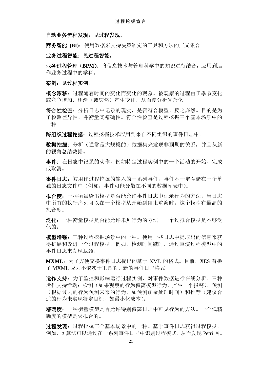自动业务流程发现:见过程发现。

商务智能 **(BI)**:使用数据来支持决策制定的工具和方法的广义集合。

业务过程智能:见过程智能。

业务过程管理(BPM): 将信息技术与管理科学中的知识进行结合, 应用到运 作业务过程中的学科。

案例: 见过程实例。

概念漂移:过程随着时间的变化而变化的现象。被观察的过程由于季节变化 或竞争增加,逐渐(或突然)产生变化,从而使分析复杂化。

符合性检查:分析日志中记录的现实,是否符合模型,反之亦然。目的是为 了检测差异性,并衡量其精确性。符合性检查是过程挖掘三个基本场景中的 一种。

跨组织过程挖掘:过程挖掘技术应用到来自不同组织的事件日志中。

数据挖掘: 分析(通常是大规模的)数据集来发现非预期的关系, 并且从新 的视角总结数据。

事件:在日志中记录的动作,例如特定过程实例中的一个活动的开始、完成 或取消。

事件日志:被用作过程挖掘的输入的一系列事件。事件不一定存储在一个单 独的日志文件中(例如,事件可能分散在不同的数据库表中)。

拟合度:一种衡量给出模型是否能允许事件日志中记录行为的方法。当日志 中所有的执行序列可以在一个模型从开始到结束重演时,这个模型有最高的 拟合度。

泛化:一种衡量模型是否能允许未见行为的方法。一个过拟合模型是不够泛 化的。

模型增强:三种过程挖掘场景中的一种。使用一些日志中提取出的信息来获 得扩展和改进一个过程模型。例如,检测时间戳时,通过重演过程模型中的 事件日志来发现瓶颈。

**MXML**:为了方便交换事件日志提出的基于 XML 的格式。目前,XES 替换 了 MXML 成为不依赖于工具的、新的事件日志格式。

运作支持:为了监控和影响运行过程实例,对事件数据进行在线分析。三种 运作支持活动:检测(如果观察的行为偏离模型行为,产生一个报警)、预测 (根据过去的行为预测未来的行为,如预测剩余处理时间)和推荐(建议合 适的行为来实现特定目标,如最小化成本)。

精确度:一种衡量模型是否允许特别偏离日志中可见行为的方法。一个低精 确度的模型是欠拟合的。

过程发现:过程挖掘三个基本场景中的一种。基于事件日志获得过程模型。 例如,α算法可以通过在一系列事件日志中识别过程模式,从而发现 Petri 网。